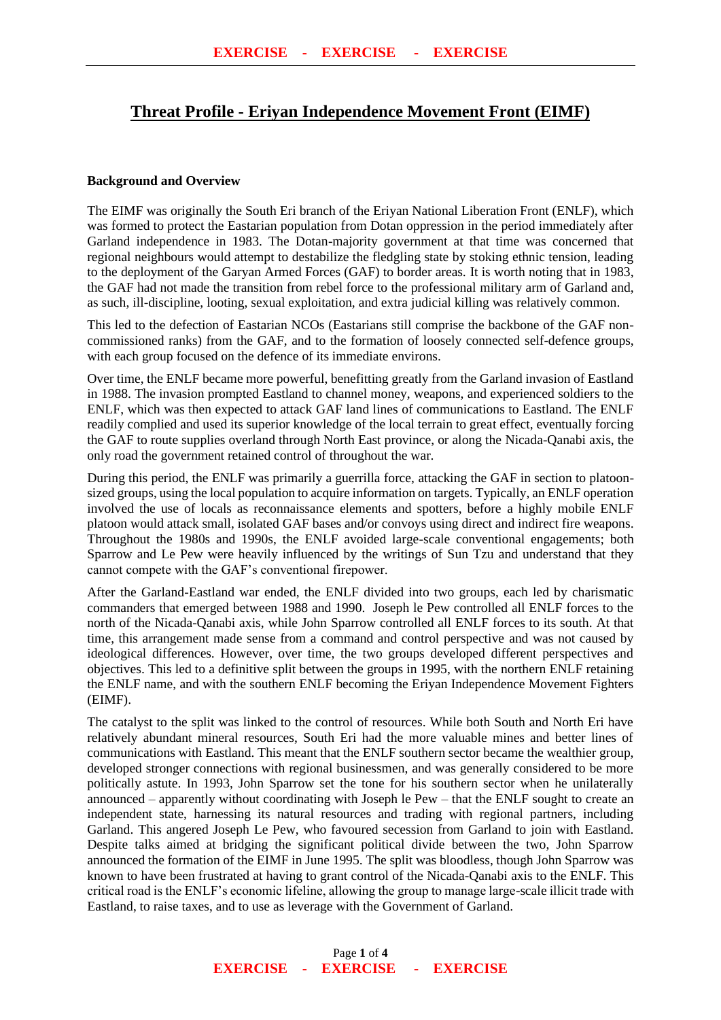## **Threat Profile - Eriyan Independence Movement Front (EIMF)**

## **Background and Overview**

The EIMF was originally the South Eri branch of the Eriyan National Liberation Front (ENLF), which was formed to protect the Eastarian population from Dotan oppression in the period immediately after Garland independence in 1983. The Dotan-majority government at that time was concerned that regional neighbours would attempt to destabilize the fledgling state by stoking ethnic tension, leading to the deployment of the Garyan Armed Forces (GAF) to border areas. It is worth noting that in 1983, the GAF had not made the transition from rebel force to the professional military arm of Garland and, as such, ill-discipline, looting, sexual exploitation, and extra judicial killing was relatively common.

This led to the defection of Eastarian NCOs (Eastarians still comprise the backbone of the GAF noncommissioned ranks) from the GAF, and to the formation of loosely connected self-defence groups, with each group focused on the defence of its immediate environs.

Over time, the ENLF became more powerful, benefitting greatly from the Garland invasion of Eastland in 1988. The invasion prompted Eastland to channel money, weapons, and experienced soldiers to the ENLF, which was then expected to attack GAF land lines of communications to Eastland. The ENLF readily complied and used its superior knowledge of the local terrain to great effect, eventually forcing the GAF to route supplies overland through North East province, or along the Nicada-Qanabi axis, the only road the government retained control of throughout the war.

During this period, the ENLF was primarily a guerrilla force, attacking the GAF in section to platoonsized groups, using the local population to acquire information on targets. Typically, an ENLF operation involved the use of locals as reconnaissance elements and spotters, before a highly mobile ENLF platoon would attack small, isolated GAF bases and/or convoys using direct and indirect fire weapons. Throughout the 1980s and 1990s, the ENLF avoided large-scale conventional engagements; both Sparrow and Le Pew were heavily influenced by the writings of Sun Tzu and understand that they cannot compete with the GAF's conventional firepower.

After the Garland-Eastland war ended, the ENLF divided into two groups, each led by charismatic commanders that emerged between 1988 and 1990. Joseph le Pew controlled all ENLF forces to the north of the Nicada-Qanabi axis, while John Sparrow controlled all ENLF forces to its south. At that time, this arrangement made sense from a command and control perspective and was not caused by ideological differences. However, over time, the two groups developed different perspectives and objectives. This led to a definitive split between the groups in 1995, with the northern ENLF retaining the ENLF name, and with the southern ENLF becoming the Eriyan Independence Movement Fighters (EIMF).

The catalyst to the split was linked to the control of resources. While both South and North Eri have relatively abundant mineral resources, South Eri had the more valuable mines and better lines of communications with Eastland. This meant that the ENLF southern sector became the wealthier group, developed stronger connections with regional businessmen, and was generally considered to be more politically astute. In 1993, John Sparrow set the tone for his southern sector when he unilaterally announced – apparently without coordinating with Joseph le Pew – that the ENLF sought to create an independent state, harnessing its natural resources and trading with regional partners, including Garland. This angered Joseph Le Pew, who favoured secession from Garland to join with Eastland. Despite talks aimed at bridging the significant political divide between the two, John Sparrow announced the formation of the EIMF in June 1995. The split was bloodless, though John Sparrow was known to have been frustrated at having to grant control of the Nicada-Qanabi axis to the ENLF. This critical road is the ENLF's economic lifeline, allowing the group to manage large-scale illicit trade with Eastland, to raise taxes, and to use as leverage with the Government of Garland.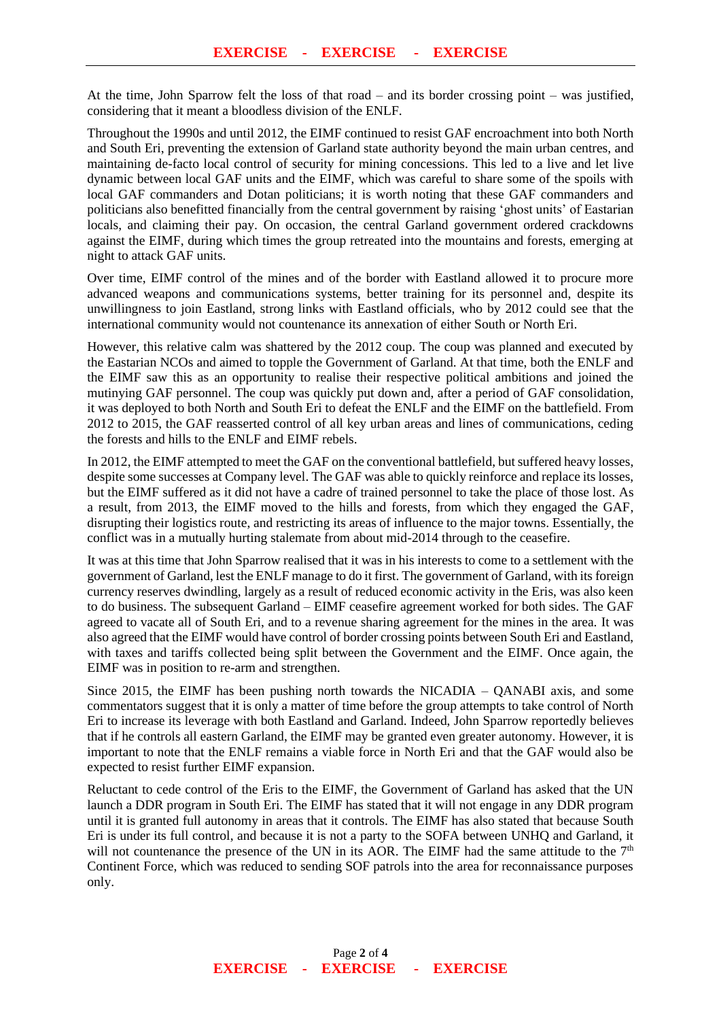At the time, John Sparrow felt the loss of that road – and its border crossing point – was justified, considering that it meant a bloodless division of the ENLF.

Throughout the 1990s and until 2012, the EIMF continued to resist GAF encroachment into both North and South Eri, preventing the extension of Garland state authority beyond the main urban centres, and maintaining de-facto local control of security for mining concessions. This led to a live and let live dynamic between local GAF units and the EIMF, which was careful to share some of the spoils with local GAF commanders and Dotan politicians; it is worth noting that these GAF commanders and politicians also benefitted financially from the central government by raising 'ghost units' of Eastarian locals, and claiming their pay. On occasion, the central Garland government ordered crackdowns against the EIMF, during which times the group retreated into the mountains and forests, emerging at night to attack GAF units.

Over time, EIMF control of the mines and of the border with Eastland allowed it to procure more advanced weapons and communications systems, better training for its personnel and, despite its unwillingness to join Eastland, strong links with Eastland officials, who by 2012 could see that the international community would not countenance its annexation of either South or North Eri.

However, this relative calm was shattered by the 2012 coup. The coup was planned and executed by the Eastarian NCOs and aimed to topple the Government of Garland. At that time, both the ENLF and the EIMF saw this as an opportunity to realise their respective political ambitions and joined the mutinying GAF personnel. The coup was quickly put down and, after a period of GAF consolidation, it was deployed to both North and South Eri to defeat the ENLF and the EIMF on the battlefield. From 2012 to 2015, the GAF reasserted control of all key urban areas and lines of communications, ceding the forests and hills to the ENLF and EIMF rebels.

In 2012, the EIMF attempted to meet the GAF on the conventional battlefield, but suffered heavy losses, despite some successes at Company level. The GAF was able to quickly reinforce and replace its losses, but the EIMF suffered as it did not have a cadre of trained personnel to take the place of those lost. As a result, from 2013, the EIMF moved to the hills and forests, from which they engaged the GAF, disrupting their logistics route, and restricting its areas of influence to the major towns. Essentially, the conflict was in a mutually hurting stalemate from about mid-2014 through to the ceasefire.

It was at this time that John Sparrow realised that it was in his interests to come to a settlement with the government of Garland, lest the ENLF manage to do it first. The government of Garland, with its foreign currency reserves dwindling, largely as a result of reduced economic activity in the Eris, was also keen to do business. The subsequent Garland – EIMF ceasefire agreement worked for both sides. The GAF agreed to vacate all of South Eri, and to a revenue sharing agreement for the mines in the area. It was also agreed that the EIMF would have control of border crossing points between South Eri and Eastland, with taxes and tariffs collected being split between the Government and the EIMF. Once again, the EIMF was in position to re-arm and strengthen.

Since 2015, the EIMF has been pushing north towards the NICADIA – QANABI axis, and some commentators suggest that it is only a matter of time before the group attempts to take control of North Eri to increase its leverage with both Eastland and Garland. Indeed, John Sparrow reportedly believes that if he controls all eastern Garland, the EIMF may be granted even greater autonomy. However, it is important to note that the ENLF remains a viable force in North Eri and that the GAF would also be expected to resist further EIMF expansion.

Reluctant to cede control of the Eris to the EIMF, the Government of Garland has asked that the UN launch a DDR program in South Eri. The EIMF has stated that it will not engage in any DDR program until it is granted full autonomy in areas that it controls. The EIMF has also stated that because South Eri is under its full control, and because it is not a party to the SOFA between UNHQ and Garland, it will not countenance the presence of the UN in its AOR. The EIMF had the same attitude to the  $7<sup>th</sup>$ Continent Force, which was reduced to sending SOF patrols into the area for reconnaissance purposes only.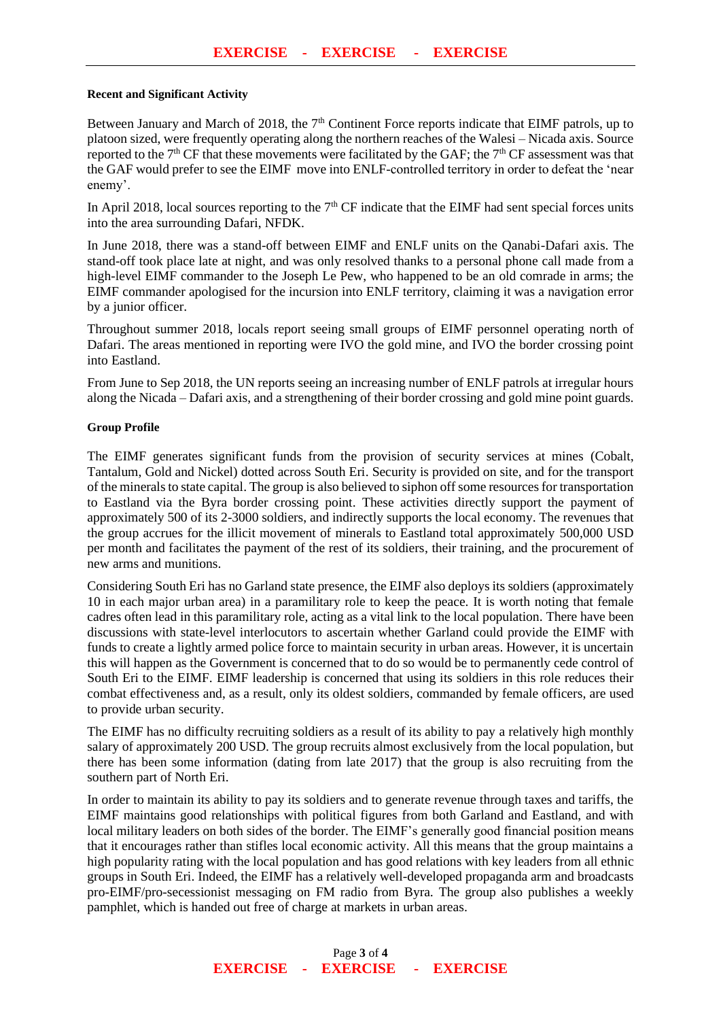## **Recent and Significant Activity**

Between January and March of 2018, the 7<sup>th</sup> Continent Force reports indicate that EIMF patrols, up to platoon sized, were frequently operating along the northern reaches of the Walesi – Nicada axis. Source reported to the 7<sup>th</sup> CF that these movements were facilitated by the GAF; the 7<sup>th</sup> CF assessment was that the GAF would prefer to see the EIMF move into ENLF-controlled territory in order to defeat the 'near enemy'.

In April 2018, local sources reporting to the  $7<sup>th</sup>$  CF indicate that the EIMF had sent special forces units into the area surrounding Dafari, NFDK.

In June 2018, there was a stand-off between EIMF and ENLF units on the Qanabi-Dafari axis. The stand-off took place late at night, and was only resolved thanks to a personal phone call made from a high-level EIMF commander to the Joseph Le Pew, who happened to be an old comrade in arms; the EIMF commander apologised for the incursion into ENLF territory, claiming it was a navigation error by a junior officer.

Throughout summer 2018, locals report seeing small groups of EIMF personnel operating north of Dafari. The areas mentioned in reporting were IVO the gold mine, and IVO the border crossing point into Eastland.

From June to Sep 2018, the UN reports seeing an increasing number of ENLF patrols at irregular hours along the Nicada – Dafari axis, and a strengthening of their border crossing and gold mine point guards.

## **Group Profile**

The EIMF generates significant funds from the provision of security services at mines (Cobalt, Tantalum, Gold and Nickel) dotted across South Eri. Security is provided on site, and for the transport of the minerals to state capital. The group is also believed to siphon off some resources for transportation to Eastland via the Byra border crossing point. These activities directly support the payment of approximately 500 of its 2-3000 soldiers, and indirectly supports the local economy. The revenues that the group accrues for the illicit movement of minerals to Eastland total approximately 500,000 USD per month and facilitates the payment of the rest of its soldiers, their training, and the procurement of new arms and munitions.

Considering South Eri has no Garland state presence, the EIMF also deploys its soldiers (approximately 10 in each major urban area) in a paramilitary role to keep the peace. It is worth noting that female cadres often lead in this paramilitary role, acting as a vital link to the local population. There have been discussions with state-level interlocutors to ascertain whether Garland could provide the EIMF with funds to create a lightly armed police force to maintain security in urban areas. However, it is uncertain this will happen as the Government is concerned that to do so would be to permanently cede control of South Eri to the EIMF. EIMF leadership is concerned that using its soldiers in this role reduces their combat effectiveness and, as a result, only its oldest soldiers, commanded by female officers, are used to provide urban security.

The EIMF has no difficulty recruiting soldiers as a result of its ability to pay a relatively high monthly salary of approximately 200 USD. The group recruits almost exclusively from the local population, but there has been some information (dating from late 2017) that the group is also recruiting from the southern part of North Eri.

In order to maintain its ability to pay its soldiers and to generate revenue through taxes and tariffs, the EIMF maintains good relationships with political figures from both Garland and Eastland, and with local military leaders on both sides of the border. The EIMF's generally good financial position means that it encourages rather than stifles local economic activity. All this means that the group maintains a high popularity rating with the local population and has good relations with key leaders from all ethnic groups in South Eri. Indeed, the EIMF has a relatively well-developed propaganda arm and broadcasts pro-EIMF/pro-secessionist messaging on FM radio from Byra. The group also publishes a weekly pamphlet, which is handed out free of charge at markets in urban areas.